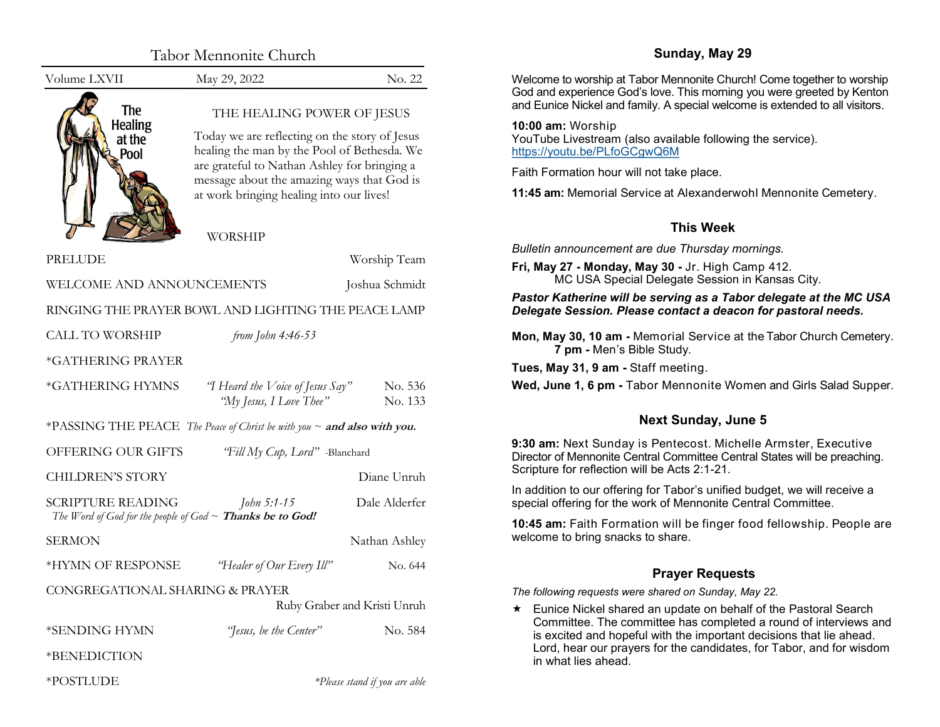<span id="page-0-0"></span>

|                                                                | Tabor Mennonite Church                                                                                                                                                                                                                                               |                                | Sunday, May 29                                                                                                                                         |  |  |
|----------------------------------------------------------------|----------------------------------------------------------------------------------------------------------------------------------------------------------------------------------------------------------------------------------------------------------------------|--------------------------------|--------------------------------------------------------------------------------------------------------------------------------------------------------|--|--|
| Volume LXVII                                                   | May 29, 2022                                                                                                                                                                                                                                                         | No. 22                         | Welcome to worship at Tabor Mennonite Church! Come together to worship                                                                                 |  |  |
| <b>The</b>                                                     | THE HEALING POWER OF JESUS<br>Today we are reflecting on the story of Jesus<br>healing the man by the Pool of Bethesda. We<br>are grateful to Nathan Ashley for bringing a<br>message about the amazing ways that God is<br>at work bringing healing into our lives! |                                | God and experience God's love. This morning you were greeted by Kenton<br>and Eunice Nickel and family. A special welcome is extended to all visitors. |  |  |
| <b>Healing</b><br>at the<br>Pool                               |                                                                                                                                                                                                                                                                      |                                | 10:00 am: Worship<br>YouTube Livestream (also available following the service).<br>https://youtu.be/PLfoGCgwQ6M                                        |  |  |
|                                                                |                                                                                                                                                                                                                                                                      |                                | Faith Formation hour will not take place.                                                                                                              |  |  |
|                                                                |                                                                                                                                                                                                                                                                      |                                | 11:45 am: Memorial Service at Alexanderwohl Mennonite Cemetery.                                                                                        |  |  |
|                                                                | <b>WORSHIP</b>                                                                                                                                                                                                                                                       |                                | <b>This Week</b>                                                                                                                                       |  |  |
|                                                                |                                                                                                                                                                                                                                                                      |                                | Bulletin announcement are due Thursday mornings.                                                                                                       |  |  |
| <b>PRELUDE</b><br>WELCOME AND ANNOUNCEMENTS                    |                                                                                                                                                                                                                                                                      | Worship Team<br>Joshua Schmidt | Fri, May 27 - Monday, May 30 - Jr. High Camp 412.<br>MC USA Special Delegate Session in Kansas City.                                                   |  |  |
| RINGING THE PRAYER BOWL AND LIGHTING THE PEACE LAMP            |                                                                                                                                                                                                                                                                      |                                | Pastor Katherine will be serving as a Tabor delegate at the MC USA<br>Delegate Session. Please contact a deacon for pastoral needs.                    |  |  |
| <b>CALL TO WORSHIP</b>                                         | from John 4:46-53                                                                                                                                                                                                                                                    |                                | Mon, May 30, 10 am - Memorial Service at the Tabor Church Cemetery.<br>7 pm - Men's Bible Study.                                                       |  |  |
| *GATHERING PRAYER                                              |                                                                                                                                                                                                                                                                      |                                | Tues, May 31, 9 am - Staff meeting.                                                                                                                    |  |  |
| *GATHERING HYMNS                                               | "I Heard the Voice of Jesus $Say$ "<br>"My Jesus, I Love Thee"                                                                                                                                                                                                       | No. 536<br>No. 133             | Wed, June 1, 6 pm - Tabor Mennonite Women and Girls Salad Supper.                                                                                      |  |  |
|                                                                | *PASSING THE PEACE The Peace of Christ be with you $\sim$ and also with you.                                                                                                                                                                                         |                                | <b>Next Sunday, June 5</b>                                                                                                                             |  |  |
| OFFERING OUR GIFTS<br>"Fill My Cup, Lord" -Blanchard           |                                                                                                                                                                                                                                                                      |                                | 9:30 am: Next Sunday is Pentecost. Michelle Armster, Executive<br>Director of Mennonite Central Committee Central States will be preaching.            |  |  |
| <b>CHILDREN'S STORY</b>                                        |                                                                                                                                                                                                                                                                      | Diane Unruh                    | Scripture for reflection will be Acts 2:1-21.                                                                                                          |  |  |
| <b>SCRIPTURE READING</b>                                       | John 5:1-15                                                                                                                                                                                                                                                          | Dale Alderfer                  | In addition to our offering for Tabor's unified budget, we will receive a<br>special offering for the work of Mennonite Central Committee.             |  |  |
| The Word of God for the people of God $\sim$ Thanks be to God! |                                                                                                                                                                                                                                                                      |                                | 10:45 am: Faith Formation will be finger food fellowship. People are                                                                                   |  |  |
| <b>SERMON</b>                                                  |                                                                                                                                                                                                                                                                      | Nathan Ashley                  | welcome to bring snacks to share.                                                                                                                      |  |  |
| *HYMN OF RESPONSE                                              | "Healer of Our Every Ill"                                                                                                                                                                                                                                            | No. 644                        | <b>Prayer Requests</b>                                                                                                                                 |  |  |
| CONGREGATIONAL SHARING & PRAYER                                |                                                                                                                                                                                                                                                                      |                                | The following requests were shared on Sunday, May 22.                                                                                                  |  |  |
|                                                                |                                                                                                                                                                                                                                                                      | Ruby Graber and Kristi Unruh   | Eunice Nickel shared an update on behalf of the Pastoral Search                                                                                        |  |  |
| *SENDING HYMN                                                  | "Jesus, be the Center"                                                                                                                                                                                                                                               | No. 584                        | Committee. The committee has completed a round of interviews and<br>is excited and hopeful with the important decisions that lie ahead.                |  |  |
| *BENEDICTION                                                   |                                                                                                                                                                                                                                                                      |                                | Lord, hear our prayers for the candidates, for Tabor, and for wisdom<br>in what lies ahead.                                                            |  |  |
| *POSTLUDE                                                      |                                                                                                                                                                                                                                                                      | *Please stand if you are able  |                                                                                                                                                        |  |  |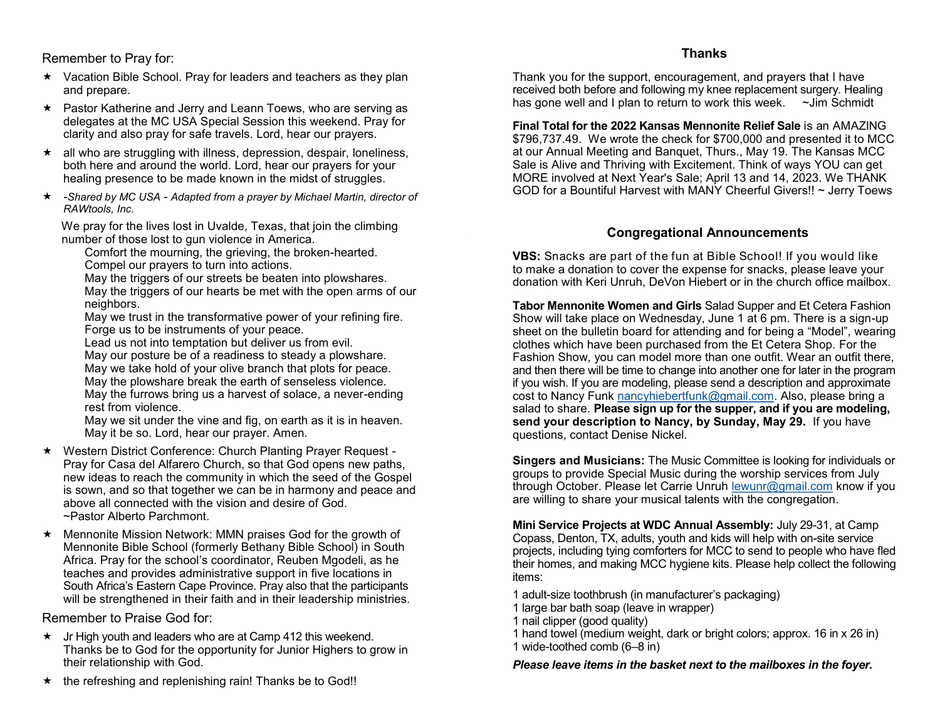<span id="page-1-0"></span>Remember to Pray for:

- $\star$  Vacation Bible School. Pray for leaders and teachers as they plan and prepare.
- ★ Pastor Katherine and Jerry and Leann Toews, who are serving as delegates at the MC USA Special Session this weekend. Pray for clarity and also pray for safe travels. Lord, hear our prayers.
- $\star$  all who are struggling with illness, depression, despair, loneliness, both here and around the world. Lord, hear our prayers for your healing presence to be made known in the midst of struggles.
- *-Shared by MC USA - Adapted from a prayer by Michael Martin, director of RAWtools, Inc.*

 We pray for the lives lost in Uvalde, Texas, that join the climbing number of those lost to gun violence in America.

Comfort the mourning, the grieving, the broken-hearted. Compel our prayers to turn into actions.

May the triggers of our streets be beaten into plowshares.

May the triggers of our hearts be met with the open arms of our neighbors.

May we trust in the transformative power of your refining fire. Forge us to be instruments of your peace.

Lead us not into temptation but deliver us from evil.

May our posture be of a readiness to steady a plowshare. May we take hold of your olive branch that plots for peace.

May the plowshare break the earth of senseless violence. May the furrows bring us a harvest of solace, a never-ending rest from violence.

May we sit under the vine and fig, on earth as it is in heaven. May it be so. Lord, hear our prayer. Amen.

- Western District Conference: Church Planting Prayer Request Pray for Casa del Alfarero Church, so that God opens new paths, new ideas to reach the community in which the seed of the Gospel is sown, and so that together we can be in harmony and peace and above all connected with the vision and desire of God. ~Pastor Alberto Parchmont.
- $\star$  Mennonite Mission Network: MMN praises God for the growth of Mennonite Bible School (formerly Bethany Bible School) in South Africa. Pray for the school's coordinator, Reuben Mgodeli, as he teaches and provides administrative support in five locations in South Africa's Eastern Cape Province. Pray also that the participants will be strengthened in their faith and in their leadership ministries.

Remember to Praise God for:

- $\star$  Jr High youth and leaders who are at Camp 412 this weekend. Thanks be to God for the opportunity for Junior Highers to grow in their relationship with God.
- $\star$  the refreshing and replenishing rain! Thanks be to God!!

**Thanks**

Thank you for the support, encouragement, and prayers that I have received both before and following my knee replacement surgery. Healing has gone well and I plan to return to work this week.  $\sim$ Jim Schmidt

**Final Total for the 2022 Kansas Mennonite Relief Sale** is an AMAZING \$796,737.49. We wrote the check for \$700,000 and presented it to MCC at our Annual Meeting and Banquet, Thurs., May 19. The Kansas MCC Sale is Alive and Thriving with Excitement. Think of ways YOU can get MORE involved at Next Year's Sale; April 13 and 14, 2023. We THANK GOD for a Bountiful Harvest with MANY Cheerful Givers!! ~ Jerry Toews

# **Congregational Announcements**

**VBS:** Snacks are part of the fun at Bible School! If you would like to make a donation to cover the expense for snacks, please leave your donation with Keri Unruh, DeVon Hiebert or in the church office mailbox.

**Tabor Mennonite Women and Girls** Salad Supper and Et Cetera Fashion Show will take place on Wednesday, June 1 at 6 pm. There is a sign-up sheet on the bulletin board for attending and for being a "Model", wearing clothes which have been purchased from the Et Cetera Shop. For the Fashion Show, you can model more than one outfit. Wear an outfit there, and then there will be time to change into another one for later in the program if you wish. If you are modeling, please send a description and approximate cost to Nancy Funk [nancyhiebertfunk@gmail.com.](mailto:nancyhiebertfunk@gmail.com) Also, please bring a salad to share. **Please sign up for the supper, and if you are modeling, send your description to Nancy, by Sunday, May 29.** If you have questions, contact Denise Nickel.

**Singers and Musicians:** The Music Committee is looking for individuals or groups to provide Special Music during the worship services from July through October. Please let Carrie Unruh [lewunr@gmail.com](#page-1-0) know if you are willing to share your musical talents with the congregation.

**Mini Service Projects at WDC Annual Assembly:** July 29-31, at Camp Copass, Denton, TX, adults, youth and kids will help with on-site service projects, including tying comforters for MCC to send to people who have fled their homes, and making MCC hygiene kits. Please help collect the following items:

1 adult-size toothbrush (in manufacturer's packaging)

- 1 large bar bath soap (leave in wrapper)
- 1 nail clipper (good quality)
- 1 hand towel (medium weight, dark or bright colors; approx. 16 in x 26 in)
- 1 wide-toothed comb (6–8 in)

*Please leave items in the basket next to the mailboxes in the foyer.*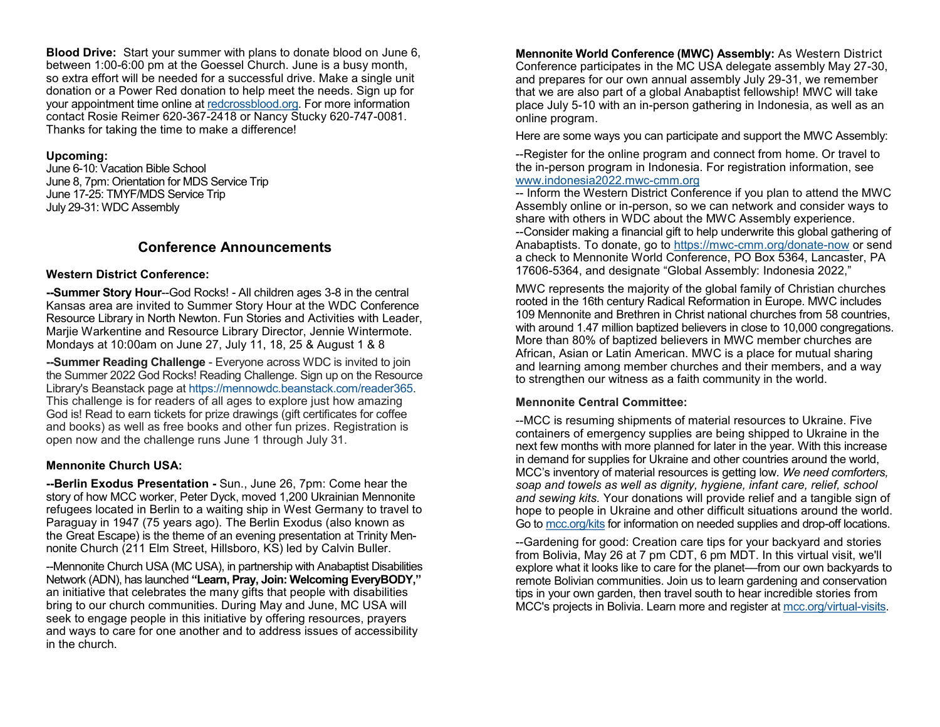<span id="page-2-0"></span>**Blood Drive:** Start your summer with plans to donate blood on June 6, between 1:00-6:00 pm at the Goessel Church. June is a busy month, so extra effort will be needed for a successful drive. Make a single unit donation or a Power Red donation to help meet the needs. Sign up for your appointment time online at [redcrossblood.org.](#page-1-0) For more information contact Rosie Reimer 620-367-2418 or Nancy Stucky 620-747-0081. Thanks for taking the time to make a difference!

#### **Upcoming:**

June 6-10: Vacation Bible School June 8, 7pm: Orientation for MDS Service Trip June 17-25: TMYF/MDS Service Trip July 29-31: WDC Assembly

# **Conference Announcements**

## **Western District Conference:**

**--Summer Story Hour**--God Rocks! - All children ages 3-8 in the central Kansas area are invited to Summer Story Hour at the WDC Conference Resource Library in North Newton. Fun Stories and Activities with Leader, Marjie Warkentine and Resource Library Director, Jennie Wintermote. Mondays at 10:00am on June 27, July 11, 18, 25 & August 1 & 8

**--Summer Reading Challenge** - Everyone across WDC is invited to join the Summer 2022 God Rocks! Reading Challenge. Sign up on the Resource Library's Beanstack page at [https://mennowdc.beanstack.com/reader365.](https://mennowdc.us5.list-manage.com/track/click?u=3915f468965d9af14d0f614cb&id=7919616dc6&e=58169205e4) This challenge is for readers of all ages to explore just how amazing God is! Read to earn tickets for prize drawings (gift certificates for coffee and books) as well as free books and other fun prizes. Registration is open now and the challenge runs June 1 through July 31.

# **Mennonite Church USA:**

**--Berlin Exodus Presentation -** Sun., June 26, 7pm: Come hear the story of how MCC worker, Peter Dyck, moved 1,200 Ukrainian Mennonite refugees located in Berlin to a waiting ship in West Germany to travel to Paraguay in 1947 (75 years ago). The Berlin Exodus (also known as the Great Escape) is the theme of an evening presentation at Trinity Mennonite Church (211 Elm Street, Hillsboro, KS) led by Calvin Buller.

--Mennonite Church USA (MC USA), in partnership with Anabaptist Disabilities Network (ADN), has launched **"Learn, Pray, Join: Welcoming EveryBODY,"** an initiative that celebrates the many gifts that people with disabilities bring to our church communities. During May and June, MC USA will seek to engage people in this initiative by offering resources, prayers and ways to care for one another and to address issues of accessibility in the church.

**Mennonite World Conference (MWC) Assembly:** As Western District Conference participates in the MC USA delegate assembly May 27-30, and prepares for our own annual assembly July 29-31, we remember that we are also part of a global Anabaptist fellowship! MWC will take place July 5-10 with an in-person gathering in Indonesia, as well as an online program.

Here are some ways you can participate and support the MWC Assembly:

--Register for the online program and connect from home. Or travel to the in-person program in Indonesia. For registration information, see [www.indonesia2022.mwc](http://www.indonesia2022.mwc-cmm.org/)-cmm.org

-- Inform the Western District Conference if you plan to attend the MWC Assembly online or in-person, so we can network and consider ways to share with others in WDC about the MWC Assembly experience. --Consider making a financial gift to help underwrite this global gathering of Anabaptists. To donate, go to https://mwc-[cmm.org/donate](https://mwc-cmm.org/donate-now)-now or send a check to Mennonite World Conference, PO Box 5364, Lancaster, PA 17606-5364, and designate "Global Assembly: Indonesia 2022,"

MWC represents the majority of the global family of Christian churches rooted in the 16th century Radical Reformation in Europe. MWC includes 109 Mennonite and Brethren in Christ national churches from 58 countries, with around 1.47 million baptized believers in close to 10,000 congregations. More than 80% of baptized believers in MWC member churches are African, Asian or Latin American. MWC is a place for mutual sharing and learning among member churches and their members, and a way to strengthen our witness as a faith community in the world.

### **Mennonite Central Committee:**

--MCC is resuming shipments of material resources to Ukraine. Five containers of emergency supplies are being shipped to Ukraine in the next few months with more planned for later in the year. With this increase in demand for supplies for Ukraine and other countries around the world, MCC's inventory of material resources is getting low. *We need comforters, soap and towels as well as dignity, hygiene, infant care, relief, school and sewing kits.* Your donations will provide relief and a tangible sign of hope to people in Ukraine and other difficult situations around the world. Go to [mcc.org/kits](https://mcc.org/get-involved/kits) for information on needed supplies and drop-off locations.

--Gardening for good: Creation care tips for your backyard and stories from Bolivia, May 26 at 7 pm CDT, 6 pm MDT. In this virtual visit, we'll explore what it looks like to care for the planet––from our own backyards to remote Bolivian communities. Join us to learn gardening and conservation tips in your own garden, then travel south to hear incredible stories from MCC's projects in Bolivia. Learn more and register at [mcc.org/virtual](#page-2-0)-visits.